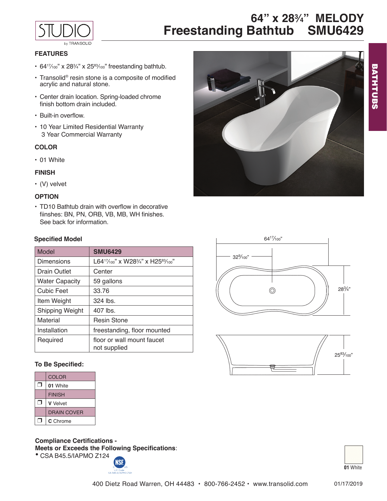

**64" x 28<sup>3</sup> ⁄4" MELODY Freestanding Bathtub SMU6429**

# **FEATURES**

- $64^{17}/100$ " x  $28^{3}/100$ " freestanding bathtub.
- Transolid® resin stone is a composite of modified acrylic and natural stone.
- • Center drain location. Spring-loaded chrome finish bottom drain included.
- Built-in overflow.
- 10 Year Limited Residential Warranty 3 Year Commercial Warranty

### **COLOR**

• 01 White

### **FINISH**

• (V) velvet

# **OPTION**

• TD10 Bathtub drain with overflow in decorative fiinshes: BN, PN, ORB, VB, MB, WH finishes. See back for information.

### **Specified Model**

| Model                 | <b>SMU6429</b>                                                           |
|-----------------------|--------------------------------------------------------------------------|
| Dimensions            | L64 <sup>17</sup> /100" x W28 <sup>3</sup> /4" x H25 <sup>83</sup> /100" |
| Drain Outlet          | Center                                                                   |
| <b>Water Capacity</b> | 59 gallons                                                               |
| <b>Cubic Feet</b>     | 33.76                                                                    |
| Item Weight           | $324$ lbs.                                                               |
| Shipping Weight       | $407$ lbs.                                                               |
| Material              | <b>Resin Stone</b>                                                       |
| Installation          | freestanding, floor mounted                                              |
| Reguired              | floor or wall mount faucet<br>not supplied                               |

### **To Be Specified:**

| <b>COLOR</b>    |
|-----------------|
| 01 White        |
| <b>FINISH</b>   |
| <b>V</b> Velvet |
| DRAIN COVER     |
| C Chrome        |

**Compliance Certifications -** 

**Meets or Exceeds the Following Specifications**: